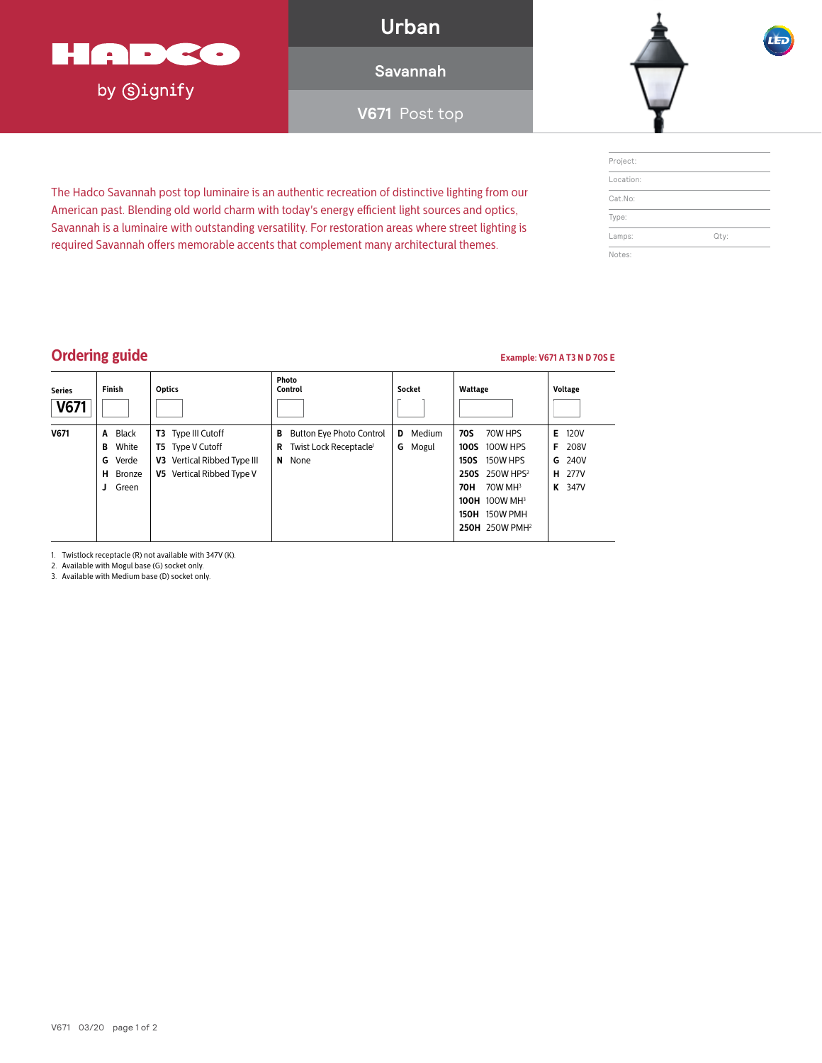

by **Signify** 

**Urban**

**Savannah**

**V671** Post top



| Project:  |      |
|-----------|------|
| Location: |      |
| Cat.No:   |      |
| Type:     |      |
| Lamps:    | Qty: |
| Notes:    |      |

### **Ordering guide Example: V671 A T3 N D 70S E**

| <b>Series</b><br>V671 | <b>Finish</b>                                                      | <b>Optics</b>                                                                                                    | Photo<br>Control                                                                             | Socket                    | Wattage                                                                                                                                                                                                          | <b>Voltage</b>                                                       |
|-----------------------|--------------------------------------------------------------------|------------------------------------------------------------------------------------------------------------------|----------------------------------------------------------------------------------------------|---------------------------|------------------------------------------------------------------------------------------------------------------------------------------------------------------------------------------------------------------|----------------------------------------------------------------------|
| V671                  | A Black<br>White<br>В<br><b>G</b> Verde<br>H Bronze<br>Green<br>J. | Type III Cutoff<br>T3<br><b>T5</b> Type V Cutoff<br>Vertical Ribbed Type III<br>V3.<br>V5 Vertical Ribbed Type V | <b>Button Eye Photo Control</b><br>в<br>Twist Lock Receptacle <sup>1</sup><br>R<br>None<br>N | Medium<br>D<br>Mogul<br>G | 70W HPS<br>70S<br>100W HPS<br>100S<br><b>150W HPS</b><br><b>150S</b><br>250S 250W HPS <sup>2</sup><br>$70W$ MH <sup>3</sup><br>70H<br><b>100H 100W MH3</b><br><b>150H 150W PMH</b><br>250H 250W PMH <sup>2</sup> | Е<br><b>120V</b><br>208V<br>F<br>240V<br>G<br>277V<br>н<br>347V<br>K |

The Hadco Savannah post top luminaire is an authentic recreation of distinctive lighting from our American past. Blending old world charm with today's energy efficient light sources and optics, Savannah is a luminaire with outstanding versatility. For restoration areas where street lighting is required Savannah offers memorable accents that complement many architectural themes.

1. Twistlock receptacle (R) not available with 347V (K).

2. Available with Mogul base (G) socket only.

3. Available with Medium base (D) socket only.